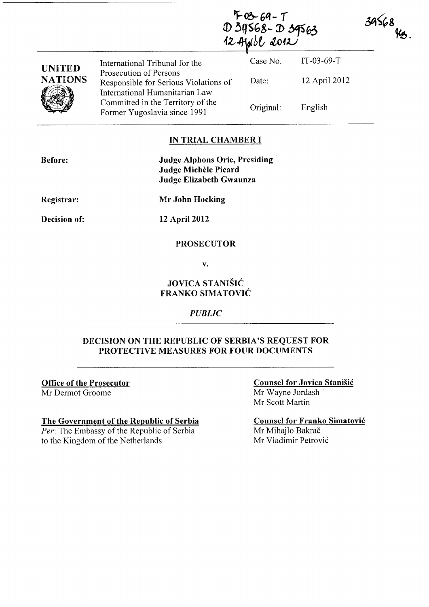F03-69-7<br>D3g568-D39563<br>124yıbl 2012

| <b>UNITED</b>  | International Tribunal for the                                                                    | Case No.  | $IT-03-69-T$  |
|----------------|---------------------------------------------------------------------------------------------------|-----------|---------------|
| <b>NATIONS</b> | Prosecution of Persons<br>Responsible for Serious Violations of<br>International Humanitarian Law | Date:     | 12 April 2012 |
|                | Committed in the Territory of the<br>Former Yugoslavia since 1991                                 | Original: | English       |

### IN TRIAL CHAMBER I

Before: Judge Alphons Orie, Presiding Judge Michele Picard Judge Elizabeth Gwaunza

Registrar:

Mr John Hocking

Decision of:

12 April 2012

### PROSECUTOR

v.

## JOVICA STANIŠIĆ FRANKO SIMATOVIC

#### *PUBLIC*

### DECISION ON THE REPUBLIC OF SERBIA'S REQUEST FOR PROTECTIVE MEASURES FOR FOUR DOCUMENTS

Office of the Prosecutor Mr Dermot Groome

#### The Government of the Republic of Serbia

*Per:* The Embassy of the Republic of Serbia to the Kingdom of the Netherlands

Counsel for Jovica Stanisic Mr Wayne Jordash Mr Scott Martin

Counsel for Franko Simatovic Mr Mihajlo Bakrač Mr Vladimir Petrović

 $39568$   $\frac{\mu_{3}}{\mu_{3}}$ .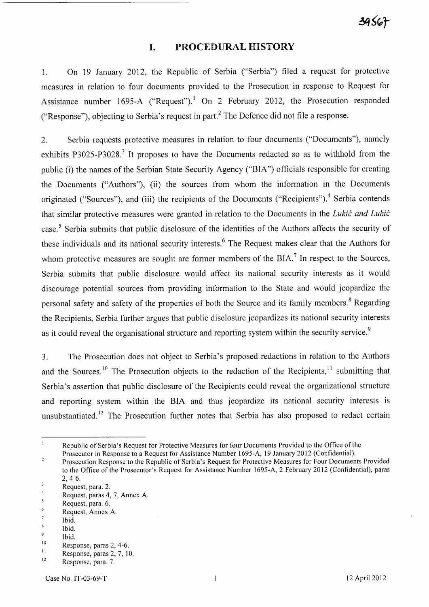### **I. PROCEDURAL HISTORY**

1. On 19 January 2012, the Republic of Serbia ("Serbia") filed a request for protective measures in relation to four documents provided to the Prosecution in response to Request for Assistance number 1695-A ("Request").<sup>1</sup> On 2 February 2012, the Prosecution responded ("Response"), objecting to Serbia's request in part.<sup>2</sup> The Defence did not file a response.

2. Serbia requests protective measures in relation to four documents ("Documents"), namely exhibits P3025-P3028.<sup>3</sup> It proposes to have the Documents redacted so as to withhold from the public (i) the names of the Serbian State Security Agency ("BIA") officials responsible for creating the Documents ("Authors"), (ii) the sources from whom the information in the Documents originated ("Sources"), and (iii) the recipients of the Documents ("Recipients").<sup>4</sup> Serbia contends that similar protective measures were granted in relation to the Documents in the *Lukic and Lukic*  case.<sup>5</sup> Serbia submits that public disclosure of the identities of the Authors affects the security of these individuals and its national security interests. 6 The Request makes clear that the Authors for whom protective measures are sought are former members of the  $BIA$ .<sup>7</sup> In respect to the Sources, Serbia submits that public disclosure would affect its national security interests as it would discourage potential sources from providing information to the State and would jeopardize the personal safety and safety of the properties of both the Source and its family members.<sup>8</sup> Regarding the Recipients, Serbia further argues that public disclosure jeopardizes its national security interests as it could reveal the organisational structure and reporting system within the security service.<sup>9</sup>

3. The Prosecution does not object to Serbia's proposed redactions in relation to the Authors and the Sources.<sup>10</sup> The Prosecution objects to the redaction of the Recipients,<sup>11</sup> submitting that Serbia's assertion that public disclosure of the Recipients could reveal the organizational structure and reporting system within the BIA and thus jeopardize its national security interests is unsubstantiated.<sup>12</sup> The Prosecution further notes that Serbia has also proposed to redact certain

 $\mathbf{1}$ Republic of Serbia's Request for Protective Measures for four Documents Provided to the Office of the Prosecutor in Response to a Request for Assistance Number 1695-A, 19 January 2012 (Confidential).

 $\overline{2}$ Prosecution Response to the Republic of Serbia's Request for Protective Measures for Four Documents Provided to the Office of the Prosecutor's Request for Assistance Number 1695-A, 2 February 2012 (Confidential), paras 2,4-6.

 $\sqrt{3}$ Request, para. 2.

<sup>4</sup>  Request, paras 4, 7, Annex A.

 $\overline{\mathbf{5}}$ Request, para. 6.

<sup>6</sup> Request, Annex A.

 $\overline{7}$ Ibid.

 $\bf 8$ Ibid.

<sup>9</sup>  Ibid.

<sup>10</sup>  Response, paras 2, 4-6.

II Response, paras 2, 7, 10.

<sup>12</sup>  Response, para. 7.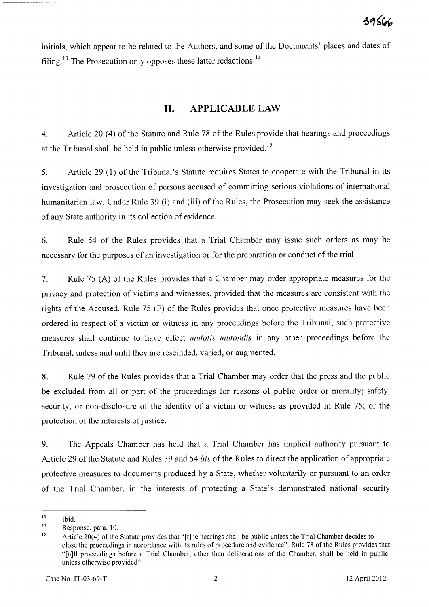initials, which appear to be related to the Authors, and some of the Documents' places and dates of filing.<sup>13</sup> The Prosecution only opposes these latter redactions.<sup>14</sup>

# **H. APPLICABLE LAW**

4. Article 20 (4) of the Statute and Rule 78 of the Rules provide that hearings and proceedings at the Tribunal shall be held in public unless otherwise provided. <sup>15</sup>

5. Article 29 (1) of the Tribunal's Statute requires States to cooperate with the Tribunal in its investigation and prosecution of persons accused of committing serious violations of international humanitarian law. Under Rule 39 (i) and (iii) of the Rules, the Prosecution may seek the assistance of any State authority in its collection of evidence.

6. Rule 54 of the Rules provides that a Trial Chamber may issue such orders as may be necessary for the purposes of an investigation or for the preparation or conduct of the trial.

7. Rule 75 (A) of the Rules provides that a Chamber may order appropriate measures for the privacy and protection of victims and witnesses, provided that the measures are consistent with the rights of the Accused. Rule 75 (F) of the Rules provides that once protective measures have been ordered in respect of a victim or witness in any proceedings before the Tribunal, such protective measures shall continue to have effect *mutatis mutandis* in any other proceedings before the Tribunal, unless and until they are rescinded, varied, or augmented.

8. Rule 79 of the Rules provides that a Trial Chamber may order that the press and the public be excluded from all or part of the proceedings for reasons of public order or morality; safety, security, or non-disclosure of the identity of a victim or witness as provided in Rule 75; or the protection of the interests of justice.

9. The Appeals Chamber has held that a Trial Chamber has implicit authority pursuant to Article 29 of the Statute and Rules 39 and 54 *his* of the Rules to direct the application of appropriate protective measures to documents produced by a State, whether voluntarily or pursuant to an order of the Trial Chamber, in the interests of protecting a State's demonstrated national security

I3 Ibid.

<sup>14</sup>  Response, para. 10.

<sup>15</sup>  Article 20(4) of the Statute provides that "[t]he hearings shall be public unless the Trial Chamber decides to close the proceedings in accordance with its rules of procedure and evidence". Rule 78 of the Rules provides that "[a]1I proceedings before a Trial Chamber, other than deliberations of the Chamber, shall be held in public, unless otherwise provided".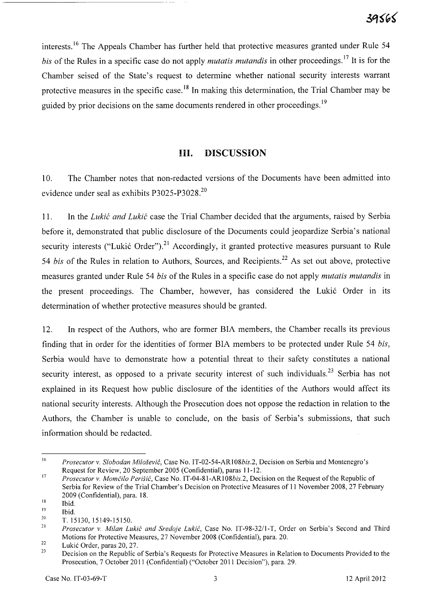interests.<sup>16</sup> The Appeals Chamber has further held that protective measures granted under Rule 54 *his* of the Rules in a specific case do not apply *mutatis mutandis* in other proceedings. 17 It is for the Chamber seised of the State's request to determine whether national security interests warrant protective measures in the specific case.<sup>18</sup> In making this determination, the Trial Chamber may be guided by prior decisions on the same documents rendered in other proceedings.<sup>19</sup>

# **Ill. DISCUSSION**

10. The Chamber notes that non-redacted versions of the Documents have been admitted into evidence under seal as exhibits P3025-P3028.<sup>20</sup>

11. In the *Lukic and Lukic* case the Trial Chamber decided that the arguments, raised by Serbia before it, demonstrated that public disclosure of the Documents could jeopardize Serbia's national security interests ("Lukić Order").<sup>21</sup> Accordingly, it granted protective measures pursuant to Rule 54 *bis* of the Rules in relation to Authors, Sources, and Recipients.<sup>22</sup> As set out above, protective measures granted under Rule 54 *his* of the Rules in a specific case do not apply *mutatis mutandis* in the present proceedings. The Chamber, however, has considered the Lukić Order in its determination of whether protective measures should be granted.

12. In respect of the Authors, who are former BIA members, the Chamber recalls its previous finding that in order for the identities of former BIA members to be protected under Rule 54 *his,*  Serbia would have to demonstrate how a potential threat to their safety constitutes a national security interest, as opposed to a private security interest of such individuals.<sup>23</sup> Serbia has not explained in its Request how public disclosure of the identities of the Authors would affect its national security interests. Although the Prosecution does not oppose the redaction in relation to the Authors, the Chamber is unable to conclude, on the basis of Serbia's submissions, that such information should be redacted.

<sup>16</sup>  *Prosecutor* v. *Slobodan Milosevi6,* Case No. IT-02-54-ARI *08bis.2,* Decision on Serbia and Montenegro's Request for Review, 20 September 2005 (Confidential), paras 11-12.

<sup>17</sup>  *Prosecutor v. Momčilo Perišić*, Case No. IT-04-81-AR108bis.2, Decision on the Request of the Republic of Serbia for Review of the Trial Chamber's Decision on Protective Measures of 1I November 2008, 27 February 2009 (Confidential), para. 18.

<sup>18</sup>  Ibid.

<sup>19</sup>  Ibid.

<sup>20</sup>  T. 15130,15149-15150.

<sup>21</sup>  *Prosecutor* v. *Milan Luki6 and Sredoje Luki6,* Case No. IT-98-32/I-T, Order on Serbia's Second and Third Motions for Protective Measures, 27 November 2008 (Confidential), para. 20.

<sup>22</sup>  Lukić Order, paras 20, 27.

<sup>23</sup>  Decision on the Republic of Serbia's Requests for Protective Measures in Relation to Documents Provided to the Prosecution, 7 October 2011 (Confidential) ("October 2011 Decision"), para. 29.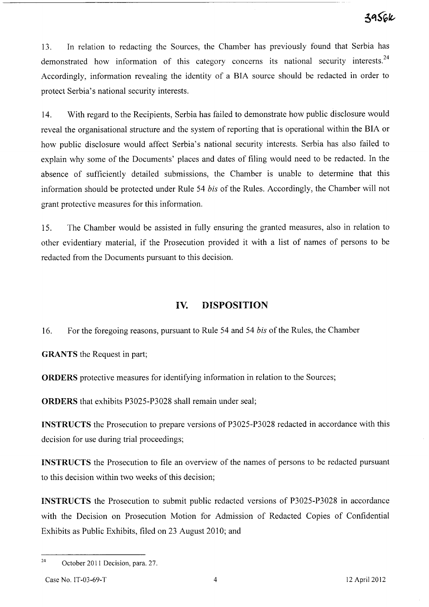13. In relation to redacting the Sources, the Chamber has previously found that Serbia has demonstrated how information of this category concerns its national security interests.<sup>24</sup> Accordingly, information revealing the identity of a BIA source should be redacted in order to protect Serbia's national security interests.

14. With regard to the Recipients, Serbia has failed to demonstrate how public disclosure would reveal the organisational structure and the system of reporting that is operational within the BIA or how public disclosure would affect Serbia's national security interests. Serbia has also failed to explain why some of the Documents' places and dates of filing would need to be redacted. In the absence of sufficiently detailed submissions, the Chamber is unable to determine that this information should be protected under Rule 54 *bis* of the Rules. Accordingly, the Chamber will not grant protective measures for this information.

15. The Chamber would be assisted in fully ensuring the granted measures, also in relation to other evidentiary material, if the Prosecution provided it with a list of names of persons to be redacted from the Documents pursuant to this decision.

## **IV. DISPOSITION**

16. For the foregoing reasons, pursuant to Rule 54 and 54 *bis* of the Rules, the Chamber

**GRANTS** the Request in part;

**ORDERS** protective measures for identifying information in relation to the Sources;

**ORDERS** that exhibits P3025-P3028 shall remain under seal;

**INSTRUCTS** the Prosecution to prepare versions of P3025-P3028 redacted in accordance with this decision for use during trial proceedings;

**INSTRUCTS** the Prosecution to file an overview of the names of persons to be redacted pursuant to this decision within two weeks of this decision;

**INSTRUCTS** the Prosecution to submit public redacted versions of P3025-P3028 in accordance with the Decision on Prosecution Motion for Admission of Redacted Copies of Confidential Exhibits as Public Exhibits, filed on 23 August 2010; and

<sup>&</sup>lt;sup>24</sup> October 2011 Decision, para. 27.